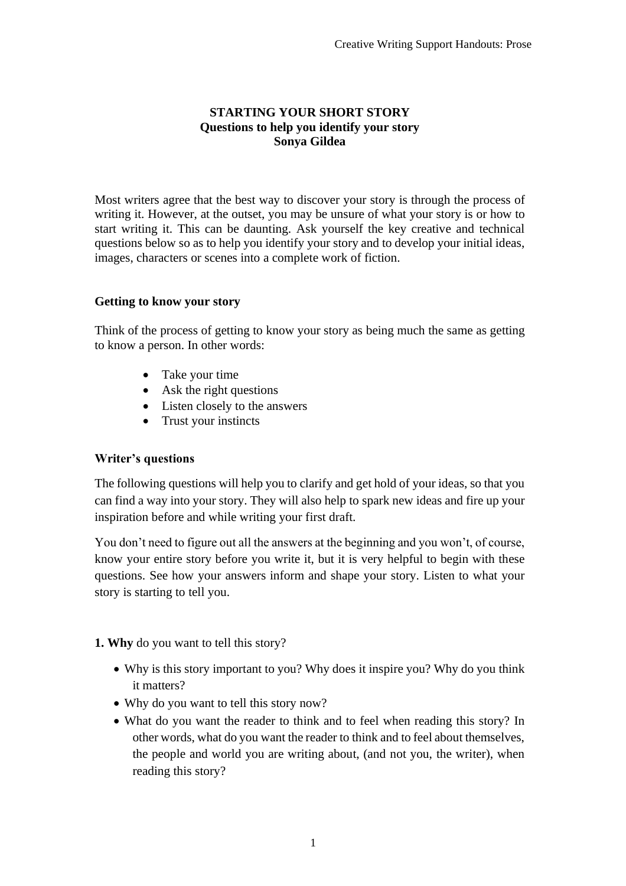### **STARTING YOUR SHORT STORY Questions to help you identify your story Sonya Gildea**

Most writers agree that the best way to discover your story is through the process of writing it. However, at the outset, you may be unsure of what your story is or how to start writing it. This can be daunting. Ask yourself the key creative and technical questions below so as to help you identify your story and to develop your initial ideas, images, characters or scenes into a complete work of fiction.

### **Getting to know your story**

Think of the process of getting to know your story as being much the same as getting to know a person. In other words:

- Take your time
- Ask the right questions
- Listen closely to the answers
- Trust your instincts

### **Writer's questions**

The following questions will help you to clarify and get hold of your ideas, so that you can find a way into your story. They will also help to spark new ideas and fire up your inspiration before and while writing your first draft.

You don't need to figure out all the answers at the beginning and you won't, of course, know your entire story before you write it, but it is very helpful to begin with these questions. See how your answers inform and shape your story. Listen to what your story is starting to tell you.

### **1. Why** do you want to tell this story?

- Why is this story important to you? Why does it inspire you? Why do you think it matters?
- Why do you want to tell this story now?
- What do you want the reader to think and to feel when reading this story? In other words, what do you want the reader to think and to feel about themselves, the people and world you are writing about, (and not you, the writer), when reading this story?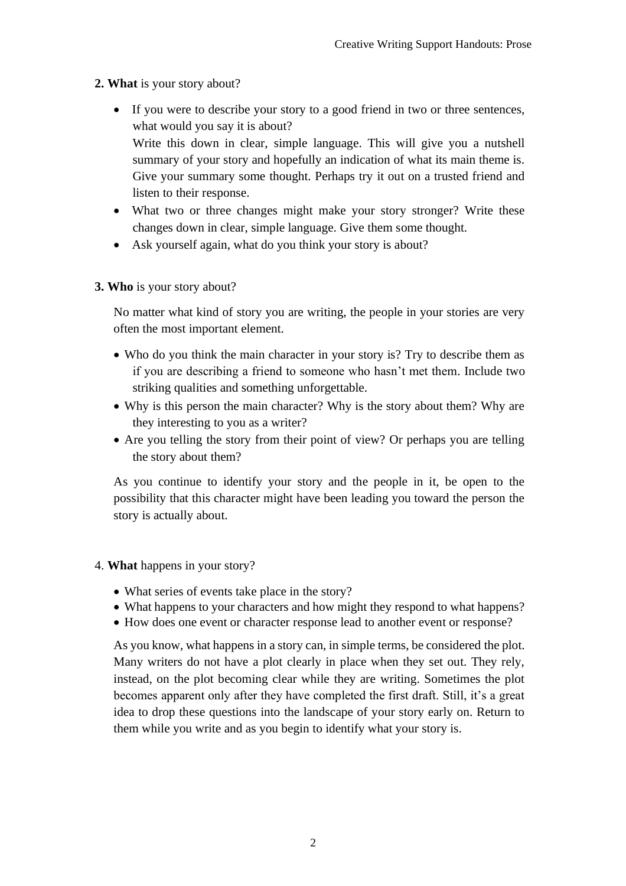## **2. What** is your story about?

• If you were to describe your story to a good friend in two or three sentences, what would you say it is about?

Write this down in clear, simple language. This will give you a nutshell summary of your story and hopefully an indication of what its main theme is. Give your summary some thought. Perhaps try it out on a trusted friend and listen to their response.

- What two or three changes might make your story stronger? Write these changes down in clear, simple language. Give them some thought.
- Ask yourself again, what do you think your story is about?
- **3. Who** is your story about?

No matter what kind of story you are writing, the people in your stories are very often the most important element.

- Who do you think the main character in your story is? Try to describe them as if you are describing a friend to someone who hasn't met them. Include two striking qualities and something unforgettable.
- Why is this person the main character? Why is the story about them? Why are they interesting to you as a writer?
- Are you telling the story from their point of view? Or perhaps you are telling the story about them?

As you continue to identify your story and the people in it, be open to the possibility that this character might have been leading you toward the person the story is actually about.

- 4. **What** happens in your story?
	- What series of events take place in the story?
	- What happens to your characters and how might they respond to what happens?
	- How does one event or character response lead to another event or response?

As you know, what happens in a story can, in simple terms, be considered the plot. Many writers do not have a plot clearly in place when they set out. They rely, instead, on the plot becoming clear while they are writing. Sometimes the plot becomes apparent only after they have completed the first draft. Still, it's a great idea to drop these questions into the landscape of your story early on. Return to them while you write and as you begin to identify what your story is.